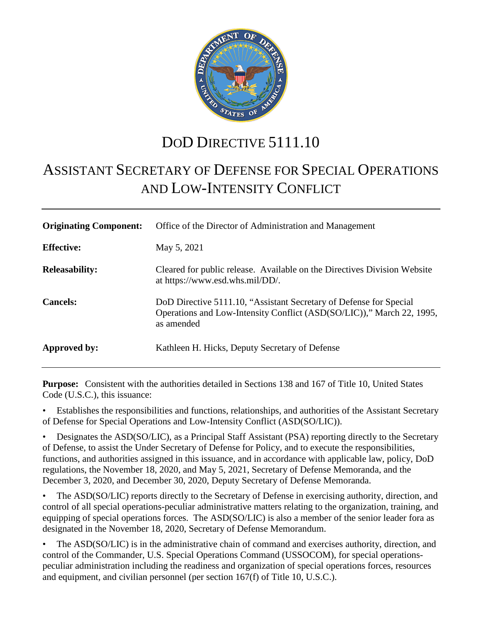

# DOD DIRECTIVE 5111.10

# ASSISTANT SECRETARY OF DEFENSE FOR SPECIAL OPERATIONS AND LOW-INTENSITY CONFLICT

| <b>Originating Component:</b> | Office of the Director of Administration and Management                                                                                                   |
|-------------------------------|-----------------------------------------------------------------------------------------------------------------------------------------------------------|
| <b>Effective:</b>             | May 5, 2021                                                                                                                                               |
| <b>Releasability:</b>         | Cleared for public release. Available on the Directives Division Website<br>at https://www.esd.whs.mil/DD/.                                               |
| <b>Cancels:</b>               | DoD Directive 5111.10, "Assistant Secretary of Defense for Special<br>Operations and Low-Intensity Conflict (ASD(SO/LIC))," March 22, 1995,<br>as amended |
| Approved by:                  | Kathleen H. Hicks, Deputy Secretary of Defense                                                                                                            |

**Purpose:** Consistent with the authorities detailed in Sections 138 and 167 of Title 10, United States Code (U.S.C.), this issuance:

• Establishes the responsibilities and functions, relationships, and authorities of the Assistant Secretary of Defense for Special Operations and Low-Intensity Conflict (ASD(SO/LIC)).

• Designates the ASD(SO/LIC), as a Principal Staff Assistant (PSA) reporting directly to the Secretary of Defense, to assist the Under Secretary of Defense for Policy, and to execute the responsibilities, functions, and authorities assigned in this issuance, and in accordance with applicable law, policy, DoD regulations, the November 18, 2020, and May 5, 2021, Secretary of Defense Memoranda, and the December 3, 2020, and December 30, 2020, Deputy Secretary of Defense Memoranda.

• The ASD(SO/LIC) reports directly to the Secretary of Defense in exercising authority, direction, and control of all special operations-peculiar administrative matters relating to the organization, training, and equipping of special operations forces. The ASD(SO/LIC) is also a member of the senior leader fora as designated in the November 18, 2020, Secretary of Defense Memorandum.

The ASD(SO/LIC) is in the administrative chain of command and exercises authority, direction, and control of the Commander, U.S. Special Operations Command (USSOCOM), for special operationspeculiar administration including the readiness and organization of special operations forces, resources and equipment, and civilian personnel (per section 167(f) of Title 10, U.S.C.).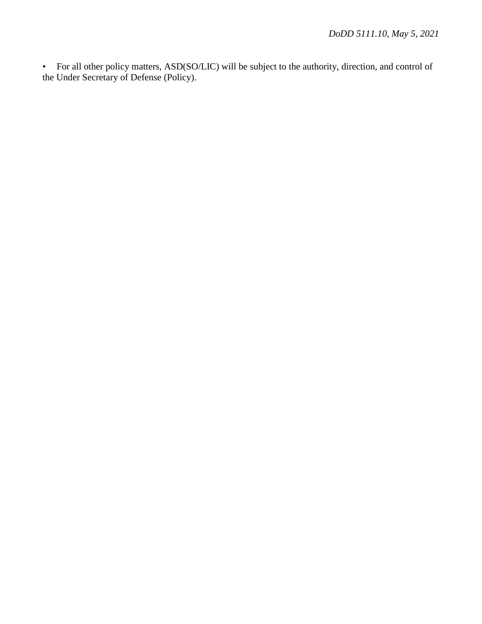• For all other policy matters, ASD(SO/LIC) will be subject to the authority, direction, and control of the Under Secretary of Defense (Policy).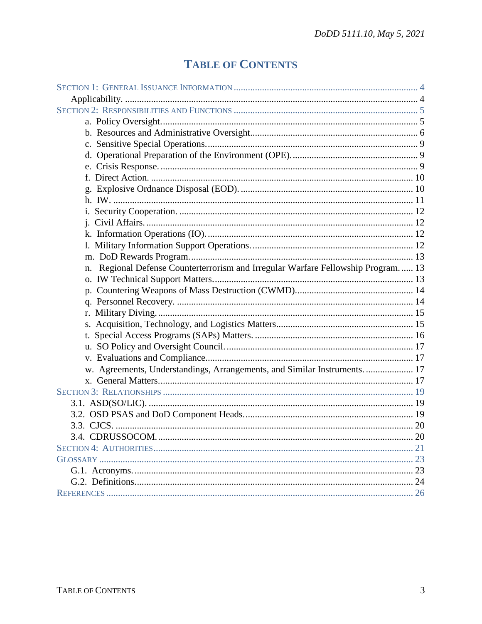# **TABLE OF CONTENTS**

| Regional Defense Counterterrorism and Irregular Warfare Fellowship Program 13<br>n. |  |
|-------------------------------------------------------------------------------------|--|
|                                                                                     |  |
|                                                                                     |  |
|                                                                                     |  |
|                                                                                     |  |
|                                                                                     |  |
|                                                                                     |  |
|                                                                                     |  |
|                                                                                     |  |
| w. Agreements, Understandings, Arrangements, and Similar Instruments.  17           |  |
|                                                                                     |  |
|                                                                                     |  |
|                                                                                     |  |
|                                                                                     |  |
|                                                                                     |  |
|                                                                                     |  |
|                                                                                     |  |
|                                                                                     |  |
|                                                                                     |  |
|                                                                                     |  |
|                                                                                     |  |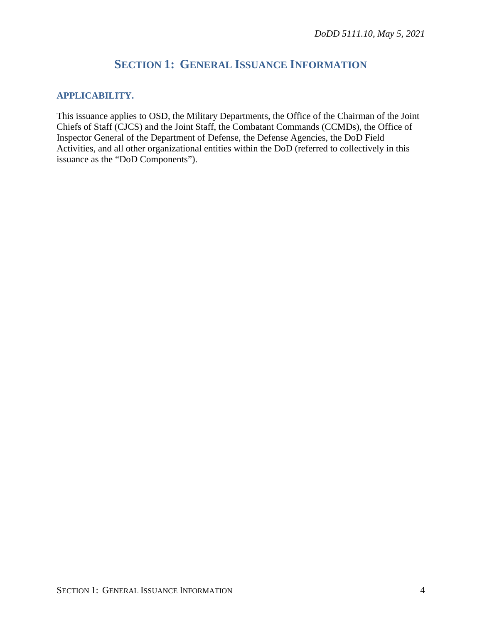# **SECTION 1: GENERAL ISSUANCE INFORMATION**

## <span id="page-3-1"></span><span id="page-3-0"></span>**APPLICABILITY.**

This issuance applies to OSD, the Military Departments, the Office of the Chairman of the Joint Chiefs of Staff (CJCS) and the Joint Staff, the Combatant Commands (CCMDs), the Office of Inspector General of the Department of Defense, the Defense Agencies, the DoD Field Activities, and all other organizational entities within the DoD (referred to collectively in this issuance as the "DoD Components").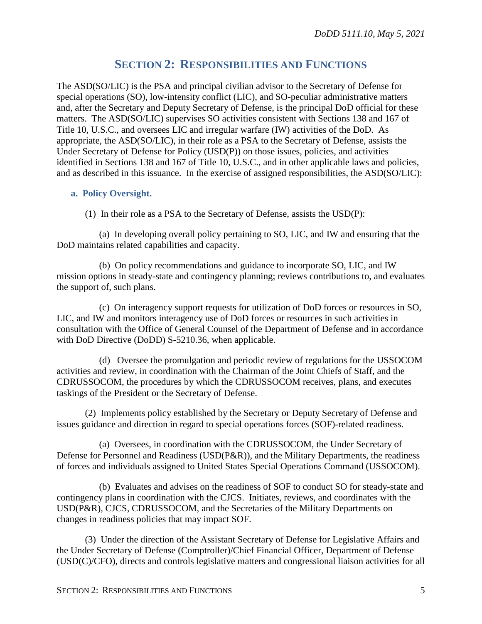# **SECTION 2: RESPONSIBILITIES AND FUNCTIONS**

<span id="page-4-0"></span>The ASD(SO/LIC) is the PSA and principal civilian advisor to the Secretary of Defense for special operations (SO), low-intensity conflict (LIC), and SO-peculiar administrative matters and, after the Secretary and Deputy Secretary of Defense, is the principal DoD official for these matters. The ASD(SO/LIC) supervises SO activities consistent with Sections 138 and 167 of Title 10, U.S.C., and oversees LIC and irregular warfare (IW) activities of the DoD. As appropriate, the ASD(SO/LIC), in their role as a PSA to the Secretary of Defense, assists the Under Secretary of Defense for Policy (USD(P)) on those issues, policies, and activities identified in Sections 138 and 167 of Title 10, U.S.C., and in other applicable laws and policies, and as described in this issuance. In the exercise of assigned responsibilities, the ASD(SO/LIC):

# <span id="page-4-1"></span>**a. Policy Oversight.**

(1) In their role as a PSA to the Secretary of Defense, assists the USD(P):

(a) In developing overall policy pertaining to SO, LIC, and IW and ensuring that the DoD maintains related capabilities and capacity.

(b) On policy recommendations and guidance to incorporate SO, LIC, and IW mission options in steady-state and contingency planning; reviews contributions to, and evaluates the support of, such plans.

(c) On interagency support requests for utilization of DoD forces or resources in SO, LIC, and IW and monitors interagency use of DoD forces or resources in such activities in consultation with the Office of General Counsel of the Department of Defense and in accordance with DoD Directive (DoDD) S-5210.36, when applicable.

(d) Oversee the promulgation and periodic review of regulations for the USSOCOM activities and review, in coordination with the Chairman of the Joint Chiefs of Staff, and the CDRUSSOCOM, the procedures by which the CDRUSSOCOM receives, plans, and executes taskings of the President or the Secretary of Defense.

(2) Implements policy established by the Secretary or Deputy Secretary of Defense and issues guidance and direction in regard to special operations forces (SOF)-related readiness.

(a) Oversees, in coordination with the CDRUSSOCOM, the Under Secretary of Defense for Personnel and Readiness (USD(P&R)), and the Military Departments, the readiness of forces and individuals assigned to United States Special Operations Command (USSOCOM).

(b) Evaluates and advises on the readiness of SOF to conduct SO for steady-state and contingency plans in coordination with the CJCS. Initiates, reviews, and coordinates with the USD(P&R), CJCS, CDRUSSOCOM, and the Secretaries of the Military Departments on changes in readiness policies that may impact SOF.

(3) Under the direction of the Assistant Secretary of Defense for Legislative Affairs and the Under Secretary of Defense (Comptroller)/Chief Financial Officer, Department of Defense (USD(C)/CFO), directs and controls legislative matters and congressional liaison activities for all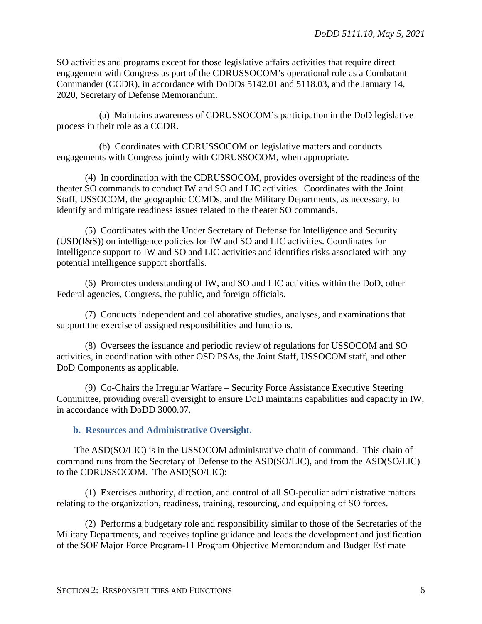SO activities and programs except for those legislative affairs activities that require direct engagement with Congress as part of the CDRUSSOCOM's operational role as a Combatant Commander (CCDR), in accordance with DoDDs 5142.01 and 5118.03, and the January 14, 2020, Secretary of Defense Memorandum.

(a) Maintains awareness of CDRUSSOCOM's participation in the DoD legislative process in their role as a CCDR.

(b) Coordinates with CDRUSSOCOM on legislative matters and conducts engagements with Congress jointly with CDRUSSOCOM, when appropriate.

(4) In coordination with the CDRUSSOCOM, provides oversight of the readiness of the theater SO commands to conduct IW and SO and LIC activities. Coordinates with the Joint Staff, USSOCOM, the geographic CCMDs, and the Military Departments, as necessary, to identify and mitigate readiness issues related to the theater SO commands.

(5) Coordinates with the Under Secretary of Defense for Intelligence and Security (USD(I&S)) on intelligence policies for IW and SO and LIC activities. Coordinates for intelligence support to IW and SO and LIC activities and identifies risks associated with any potential intelligence support shortfalls.

(6) Promotes understanding of IW, and SO and LIC activities within the DoD, other Federal agencies, Congress, the public, and foreign officials.

(7) Conducts independent and collaborative studies, analyses, and examinations that support the exercise of assigned responsibilities and functions.

(8) Oversees the issuance and periodic review of regulations for USSOCOM and SO activities, in coordination with other OSD PSAs, the Joint Staff, USSOCOM staff, and other DoD Components as applicable.

(9) Co-Chairs the Irregular Warfare – Security Force Assistance Executive Steering Committee, providing overall oversight to ensure DoD maintains capabilities and capacity in IW, in accordance with DoDD 3000.07.

<span id="page-5-0"></span>**b. Resources and Administrative Oversight.**

The ASD(SO/LIC) is in the USSOCOM administrative chain of command. This chain of command runs from the Secretary of Defense to the ASD(SO/LIC), and from the ASD(SO/LIC) to the CDRUSSOCOM. The ASD(SO/LIC):

(1) Exercises authority, direction, and control of all SO-peculiar administrative matters relating to the organization, readiness, training, resourcing, and equipping of SO forces.

(2) Performs a budgetary role and responsibility similar to those of the Secretaries of the Military Departments, and receives topline guidance and leads the development and justification of the SOF Major Force Program-11 Program Objective Memorandum and Budget Estimate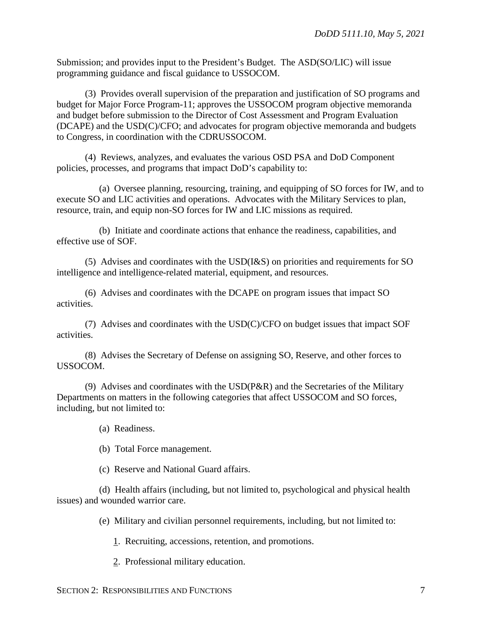Submission; and provides input to the President's Budget. The ASD(SO/LIC) will issue programming guidance and fiscal guidance to USSOCOM.

(3) Provides overall supervision of the preparation and justification of SO programs and budget for Major Force Program-11; approves the USSOCOM program objective memoranda and budget before submission to the Director of Cost Assessment and Program Evaluation (DCAPE) and the USD(C)/CFO; and advocates for program objective memoranda and budgets to Congress, in coordination with the CDRUSSOCOM.

(4) Reviews, analyzes, and evaluates the various OSD PSA and DoD Component policies, processes, and programs that impact DoD's capability to:

(a) Oversee planning, resourcing, training, and equipping of SO forces for IW, and to execute SO and LIC activities and operations. Advocates with the Military Services to plan, resource, train, and equip non-SO forces for IW and LIC missions as required.

(b) Initiate and coordinate actions that enhance the readiness, capabilities, and effective use of SOF.

(5) Advises and coordinates with the USD(I&S) on priorities and requirements for SO intelligence and intelligence-related material, equipment, and resources.

(6) Advises and coordinates with the DCAPE on program issues that impact SO activities.

(7) Advises and coordinates with the USD(C)/CFO on budget issues that impact SOF activities.

(8) Advises the Secretary of Defense on assigning SO, Reserve, and other forces to USSOCOM.

(9) Advises and coordinates with the USD(P&R) and the Secretaries of the Military Departments on matters in the following categories that affect USSOCOM and SO forces, including, but not limited to:

(a) Readiness.

(b) Total Force management.

(c) Reserve and National Guard affairs.

(d) Health affairs (including, but not limited to, psychological and physical health issues) and wounded warrior care.

(e) Military and civilian personnel requirements, including, but not limited to:

1. Recruiting, accessions, retention, and promotions.

2. Professional military education.

SECTION 2: RESPONSIBILITIES AND FUNCTIONS 7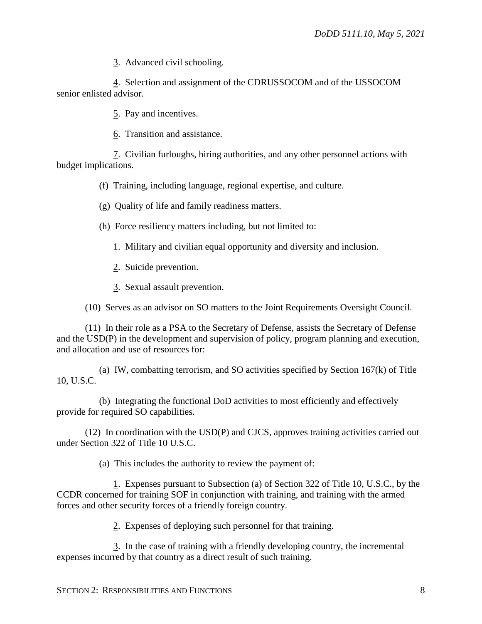3. Advanced civil schooling.

4. Selection and assignment of the CDRUSSOCOM and of the USSOCOM senior enlisted advisor.

5. Pay and incentives.

6. Transition and assistance.

7. Civilian furloughs, hiring authorities, and any other personnel actions with budget implications.

(f) Training, including language, regional expertise, and culture.

(g) Quality of life and family readiness matters.

(h) Force resiliency matters including, but not limited to:

1. Military and civilian equal opportunity and diversity and inclusion.

- 2. Suicide prevention.
- 3. Sexual assault prevention.

(10) Serves as an advisor on SO matters to the Joint Requirements Oversight Council.

(11) In their role as a PSA to the Secretary of Defense, assists the Secretary of Defense and the USD(P) in the development and supervision of policy, program planning and execution, and allocation and use of resources for:

(a) IW, combatting terrorism, and SO activities specified by Section 167(k) of Title 10, U.S.C.

(b) Integrating the functional DoD activities to most efficiently and effectively provide for required SO capabilities.

(12) In coordination with the USD(P) and CJCS, approves training activities carried out under Section 322 of Title 10 U.S.C.

(a) This includes the authority to review the payment of:

1. Expenses pursuant to Subsection (a) of Section 322 of Title 10, U.S.C., by the CCDR concerned for training SOF in conjunction with training, and training with the armed forces and other security forces of a friendly foreign country.

2. Expenses of deploying such personnel for that training.

3. In the case of training with a friendly developing country, the incremental expenses incurred by that country as a direct result of such training.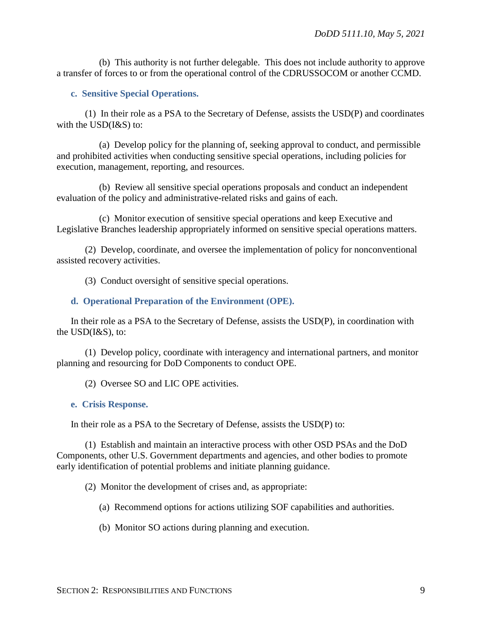(b) This authority is not further delegable. This does not include authority to approve a transfer of forces to or from the operational control of the CDRUSSOCOM or another CCMD.

<span id="page-8-0"></span>**c. Sensitive Special Operations.**

(1) In their role as a PSA to the Secretary of Defense, assists the USD(P) and coordinates with the USD(I&S) to:

(a) Develop policy for the planning of, seeking approval to conduct, and permissible and prohibited activities when conducting sensitive special operations, including policies for execution, management, reporting, and resources.

(b) Review all sensitive special operations proposals and conduct an independent evaluation of the policy and administrative-related risks and gains of each.

(c) Monitor execution of sensitive special operations and keep Executive and Legislative Branches leadership appropriately informed on sensitive special operations matters.

(2) Develop, coordinate, and oversee the implementation of policy for nonconventional assisted recovery activities.

(3) Conduct oversight of sensitive special operations.

#### <span id="page-8-1"></span>**d. Operational Preparation of the Environment (OPE).**

In their role as a PSA to the Secretary of Defense, assists the USD(P), in coordination with the USD(I&S), to:

(1) Develop policy, coordinate with interagency and international partners, and monitor planning and resourcing for DoD Components to conduct OPE.

(2) Oversee SO and LIC OPE activities.

<span id="page-8-2"></span>**e. Crisis Response.**

In their role as a PSA to the Secretary of Defense, assists the USD(P) to:

(1) Establish and maintain an interactive process with other OSD PSAs and the DoD Components, other U.S. Government departments and agencies, and other bodies to promote early identification of potential problems and initiate planning guidance.

(2) Monitor the development of crises and, as appropriate:

(a) Recommend options for actions utilizing SOF capabilities and authorities.

(b) Monitor SO actions during planning and execution.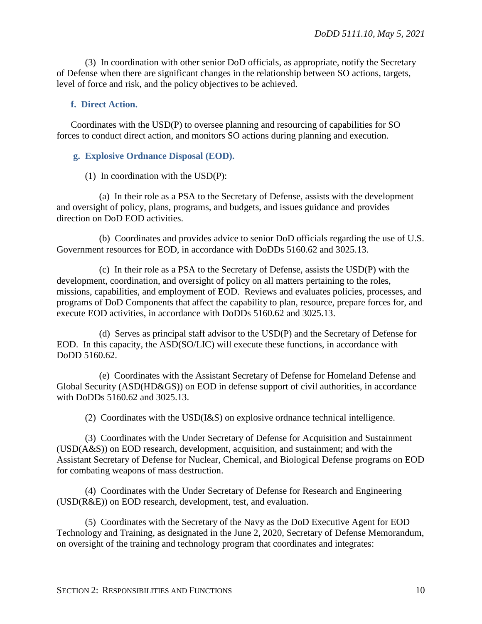(3) In coordination with other senior DoD officials, as appropriate, notify the Secretary of Defense when there are significant changes in the relationship between SO actions, targets, level of force and risk, and the policy objectives to be achieved.

## <span id="page-9-0"></span>**f. Direct Action.**

Coordinates with the USD(P) to oversee planning and resourcing of capabilities for SO forces to conduct direct action, and monitors SO actions during planning and execution.

### <span id="page-9-1"></span>**g. Explosive Ordnance Disposal (EOD).**

(1) In coordination with the USD(P):

(a) In their role as a PSA to the Secretary of Defense, assists with the development and oversight of policy, plans, programs, and budgets, and issues guidance and provides direction on DoD EOD activities.

(b) Coordinates and provides advice to senior DoD officials regarding the use of U.S. Government resources for EOD, in accordance with DoDDs 5160.62 and 3025.13.

(c) In their role as a PSA to the Secretary of Defense, assists the USD(P) with the development, coordination, and oversight of policy on all matters pertaining to the roles, missions, capabilities, and employment of EOD. Reviews and evaluates policies, processes, and programs of DoD Components that affect the capability to plan, resource, prepare forces for, and execute EOD activities, in accordance with DoDDs 5160.62 and 3025.13.

(d) Serves as principal staff advisor to the USD(P) and the Secretary of Defense for EOD. In this capacity, the ASD(SO/LIC) will execute these functions, in accordance with DoDD 5160.62.

(e) Coordinates with the Assistant Secretary of Defense for Homeland Defense and Global Security (ASD(HD&GS)) on EOD in defense support of civil authorities, in accordance with DoDDs 5160.62 and 3025.13.

(2) Coordinates with the USD(I&S) on explosive ordnance technical intelligence.

(3) Coordinates with the Under Secretary of Defense for Acquisition and Sustainment (USD(A&S)) on EOD research, development, acquisition, and sustainment; and with the Assistant Secretary of Defense for Nuclear, Chemical, and Biological Defense programs on EOD for combating weapons of mass destruction.

(4) Coordinates with the Under Secretary of Defense for Research and Engineering (USD(R&E)) on EOD research, development, test, and evaluation.

(5) Coordinates with the Secretary of the Navy as the DoD Executive Agent for EOD Technology and Training, as designated in the June 2, 2020, Secretary of Defense Memorandum, on oversight of the training and technology program that coordinates and integrates: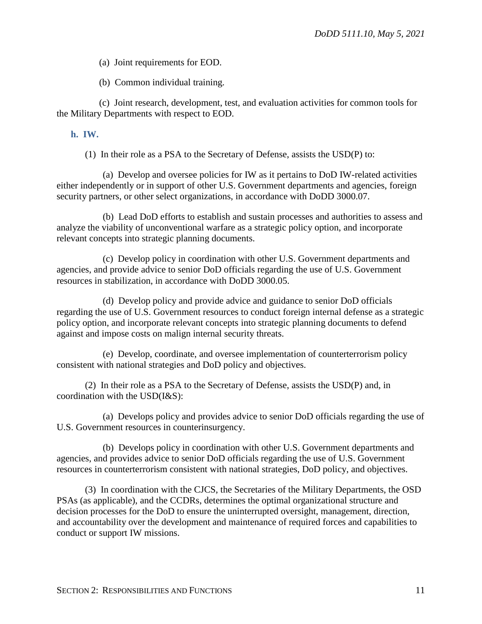(a) Joint requirements for EOD.

(b) Common individual training.

(c) Joint research, development, test, and evaluation activities for common tools for the Military Departments with respect to EOD.

### <span id="page-10-0"></span>**h. IW.**

(1) In their role as a PSA to the Secretary of Defense, assists the USD(P) to:

(a) Develop and oversee policies for IW as it pertains to DoD IW-related activities either independently or in support of other U.S. Government departments and agencies, foreign security partners, or other select organizations, in accordance with DoDD 3000.07.

(b) Lead DoD efforts to establish and sustain processes and authorities to assess and analyze the viability of unconventional warfare as a strategic policy option, and incorporate relevant concepts into strategic planning documents.

(c) Develop policy in coordination with other U.S. Government departments and agencies, and provide advice to senior DoD officials regarding the use of U.S. Government resources in stabilization, in accordance with DoDD 3000.05.

(d) Develop policy and provide advice and guidance to senior DoD officials regarding the use of U.S. Government resources to conduct foreign internal defense as a strategic policy option, and incorporate relevant concepts into strategic planning documents to defend against and impose costs on malign internal security threats.

(e) Develop, coordinate, and oversee implementation of counterterrorism policy consistent with national strategies and DoD policy and objectives.

(2) In their role as a PSA to the Secretary of Defense, assists the USD(P) and, in coordination with the USD(I&S):

(a) Develops policy and provides advice to senior DoD officials regarding the use of U.S. Government resources in counterinsurgency.

(b) Develops policy in coordination with other U.S. Government departments and agencies, and provides advice to senior DoD officials regarding the use of U.S. Government resources in counterterrorism consistent with national strategies, DoD policy, and objectives.

(3) In coordination with the CJCS, the Secretaries of the Military Departments, the OSD PSAs (as applicable), and the CCDRs, determines the optimal organizational structure and decision processes for the DoD to ensure the uninterrupted oversight, management, direction, and accountability over the development and maintenance of required forces and capabilities to conduct or support IW missions.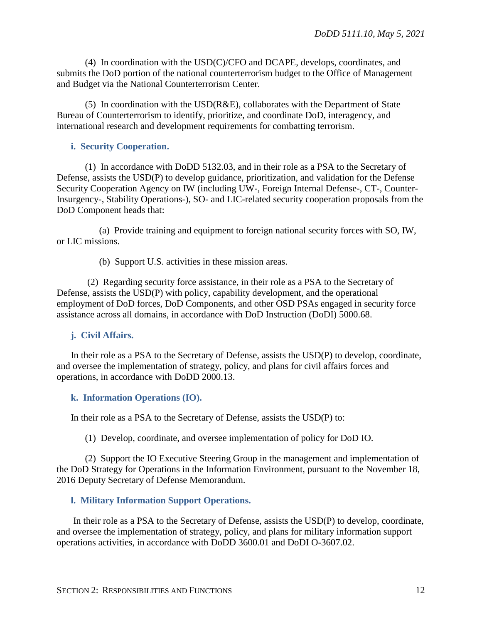(4) In coordination with the USD(C)/CFO and DCAPE, develops, coordinates, and submits the DoD portion of the national counterterrorism budget to the Office of Management and Budget via the National Counterterrorism Center.

(5) In coordination with the USD(R&E), collaborates with the Department of State Bureau of Counterterrorism to identify, prioritize, and coordinate DoD, interagency, and international research and development requirements for combatting terrorism.

#### <span id="page-11-0"></span>**i. Security Cooperation.**

(1) In accordance with DoDD 5132.03, and in their role as a PSA to the Secretary of Defense, assists the USD(P) to develop guidance, prioritization, and validation for the Defense Security Cooperation Agency on IW (including UW-, Foreign Internal Defense-, CT-, Counter-Insurgency-, Stability Operations-), SO- and LIC-related security cooperation proposals from the DoD Component heads that:

(a) Provide training and equipment to foreign national security forces with SO, IW, or LIC missions.

(b) Support U.S. activities in these mission areas.

(2) Regarding security force assistance, in their role as a PSA to the Secretary of Defense, assists the USD(P) with policy, capability development, and the operational employment of DoD forces, DoD Components, and other OSD PSAs engaged in security force assistance across all domains, in accordance with DoD Instruction (DoDI) 5000.68.

#### <span id="page-11-1"></span>**j. Civil Affairs.**

In their role as a PSA to the Secretary of Defense, assists the USD(P) to develop, coordinate, and oversee the implementation of strategy, policy, and plans for civil affairs forces and operations, in accordance with DoDD 2000.13.

## <span id="page-11-2"></span>**k. Information Operations (IO).**

In their role as a PSA to the Secretary of Defense, assists the USD(P) to:

(1) Develop, coordinate, and oversee implementation of policy for DoD IO.

(2) Support the IO Executive Steering Group in the management and implementation of the DoD Strategy for Operations in the Information Environment, pursuant to the November 18, 2016 Deputy Secretary of Defense Memorandum.

#### <span id="page-11-3"></span>**l. Military Information Support Operations.**

In their role as a PSA to the Secretary of Defense, assists the USD(P) to develop, coordinate, and oversee the implementation of strategy, policy, and plans for military information support operations activities, in accordance with DoDD 3600.01 and DoDI O-3607.02.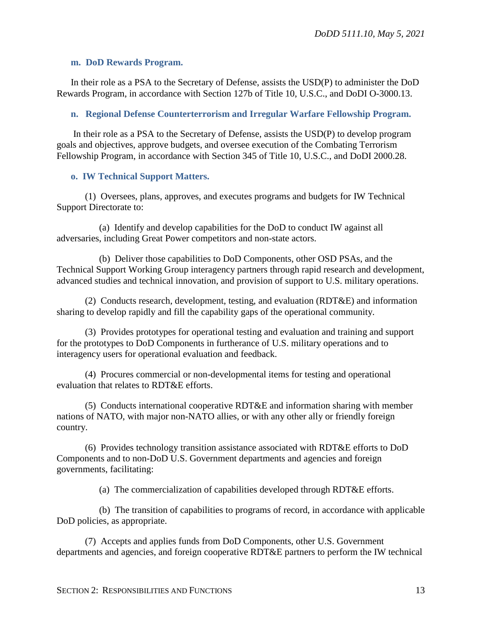#### <span id="page-12-0"></span>**m. DoD Rewards Program.**

In their role as a PSA to the Secretary of Defense, assists the USD(P) to administer the DoD Rewards Program, in accordance with Section 127b of Title 10, U.S.C., and DoDI O-3000.13.

## <span id="page-12-1"></span>**n. Regional Defense Counterterrorism and Irregular Warfare Fellowship Program.**

In their role as a PSA to the Secretary of Defense, assists the USD(P) to develop program goals and objectives, approve budgets, and oversee execution of the Combating Terrorism Fellowship Program, in accordance with Section 345 of Title 10, U.S.C., and DoDI 2000.28.

# <span id="page-12-2"></span>**o. IW Technical Support Matters.**

(1) Oversees, plans, approves, and executes programs and budgets for IW Technical Support Directorate to:

(a) Identify and develop capabilities for the DoD to conduct IW against all adversaries, including Great Power competitors and non-state actors.

(b) Deliver those capabilities to DoD Components, other OSD PSAs, and the Technical Support Working Group interagency partners through rapid research and development, advanced studies and technical innovation, and provision of support to U.S. military operations.

(2) Conducts research, development, testing, and evaluation (RDT&E) and information sharing to develop rapidly and fill the capability gaps of the operational community.

(3) Provides prototypes for operational testing and evaluation and training and support for the prototypes to DoD Components in furtherance of U.S. military operations and to interagency users for operational evaluation and feedback.

(4) Procures commercial or non-developmental items for testing and operational evaluation that relates to RDT&E efforts.

(5) Conducts international cooperative RDT&E and information sharing with member nations of NATO, with major non-NATO allies, or with any other ally or friendly foreign country.

(6) Provides technology transition assistance associated with RDT&E efforts to DoD Components and to non-DoD U.S. Government departments and agencies and foreign governments, facilitating:

(a) The commercialization of capabilities developed through RDT&E efforts.

(b) The transition of capabilities to programs of record, in accordance with applicable DoD policies, as appropriate.

(7) Accepts and applies funds from DoD Components, other U.S. Government departments and agencies, and foreign cooperative RDT&E partners to perform the IW technical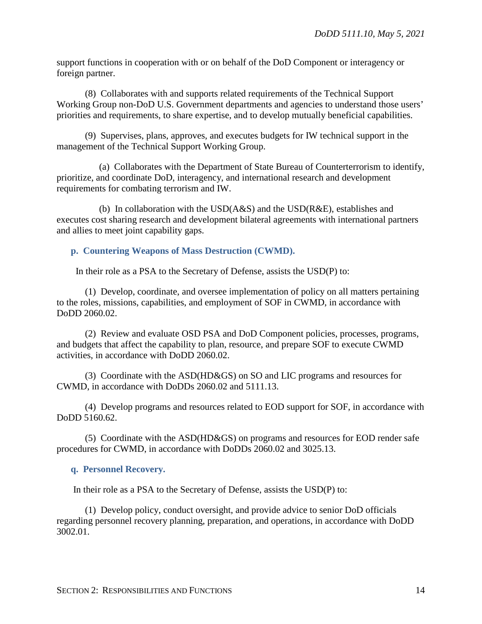support functions in cooperation with or on behalf of the DoD Component or interagency or foreign partner.

(8) Collaborates with and supports related requirements of the Technical Support Working Group non-DoD U.S. Government departments and agencies to understand those users' priorities and requirements, to share expertise, and to develop mutually beneficial capabilities.

(9) Supervises, plans, approves, and executes budgets for IW technical support in the management of the Technical Support Working Group.

(a) Collaborates with the Department of State Bureau of Counterterrorism to identify, prioritize, and coordinate DoD, interagency, and international research and development requirements for combating terrorism and IW.

(b) In collaboration with the USD(A&S) and the USD(R&E), establishes and executes cost sharing research and development bilateral agreements with international partners and allies to meet joint capability gaps.

#### <span id="page-13-0"></span>**p. Countering Weapons of Mass Destruction (CWMD).**

In their role as a PSA to the Secretary of Defense, assists the USD(P) to:

(1) Develop, coordinate, and oversee implementation of policy on all matters pertaining to the roles, missions, capabilities, and employment of SOF in CWMD, in accordance with DoDD 2060.02.

(2) Review and evaluate OSD PSA and DoD Component policies, processes, programs, and budgets that affect the capability to plan, resource, and prepare SOF to execute CWMD activities, in accordance with DoDD 2060.02.

(3) Coordinate with the ASD(HD&GS) on SO and LIC programs and resources for CWMD, in accordance with DoDDs 2060.02 and 5111.13.

(4) Develop programs and resources related to EOD support for SOF, in accordance with DoDD 5160.62.

(5) Coordinate with the ASD(HD&GS) on programs and resources for EOD render safe procedures for CWMD, in accordance with DoDDs 2060.02 and 3025.13.

#### <span id="page-13-1"></span>**q. Personnel Recovery.**

In their role as a PSA to the Secretary of Defense, assists the USD(P) to:

(1) Develop policy, conduct oversight, and provide advice to senior DoD officials regarding personnel recovery planning, preparation, and operations, in accordance with DoDD 3002.01.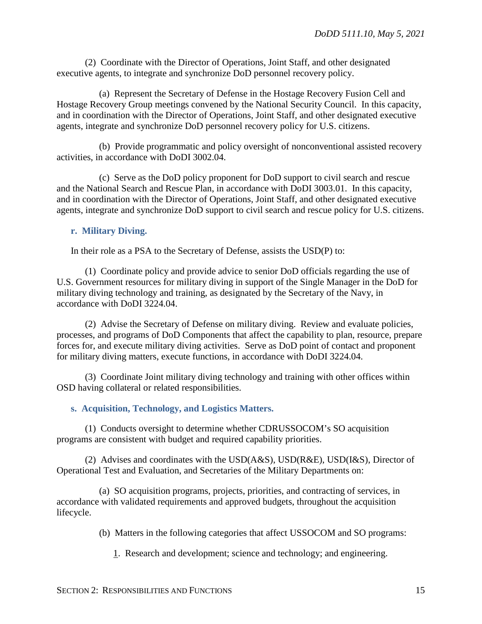(2) Coordinate with the Director of Operations, Joint Staff, and other designated executive agents, to integrate and synchronize DoD personnel recovery policy.

(a) Represent the Secretary of Defense in the Hostage Recovery Fusion Cell and Hostage Recovery Group meetings convened by the National Security Council. In this capacity, and in coordination with the Director of Operations, Joint Staff, and other designated executive agents, integrate and synchronize DoD personnel recovery policy for U.S. citizens.

(b) Provide programmatic and policy oversight of nonconventional assisted recovery activities, in accordance with DoDI 3002.04.

(c) Serve as the DoD policy proponent for DoD support to civil search and rescue and the National Search and Rescue Plan, in accordance with DoDI 3003.01. In this capacity, and in coordination with the Director of Operations, Joint Staff, and other designated executive agents, integrate and synchronize DoD support to civil search and rescue policy for U.S. citizens.

# <span id="page-14-0"></span>**r. Military Diving.**

In their role as a PSA to the Secretary of Defense, assists the USD(P) to:

(1) Coordinate policy and provide advice to senior DoD officials regarding the use of U.S. Government resources for military diving in support of the Single Manager in the DoD for military diving technology and training, as designated by the Secretary of the Navy, in accordance with DoDI 3224.04.

(2) Advise the Secretary of Defense on military diving. Review and evaluate policies, processes, and programs of DoD Components that affect the capability to plan, resource, prepare forces for, and execute military diving activities. Serve as DoD point of contact and proponent for military diving matters, execute functions, in accordance with DoDI 3224.04.

(3) Coordinate Joint military diving technology and training with other offices within OSD having collateral or related responsibilities.

# <span id="page-14-1"></span>**s. Acquisition, Technology, and Logistics Matters.**

(1) Conducts oversight to determine whether CDRUSSOCOM's SO acquisition programs are consistent with budget and required capability priorities.

(2) Advises and coordinates with the USD(A&S), USD(R&E), USD(I&S), Director of Operational Test and Evaluation, and Secretaries of the Military Departments on:

(a) SO acquisition programs, projects, priorities, and contracting of services, in accordance with validated requirements and approved budgets, throughout the acquisition lifecycle.

(b) Matters in the following categories that affect USSOCOM and SO programs:

1. Research and development; science and technology; and engineering.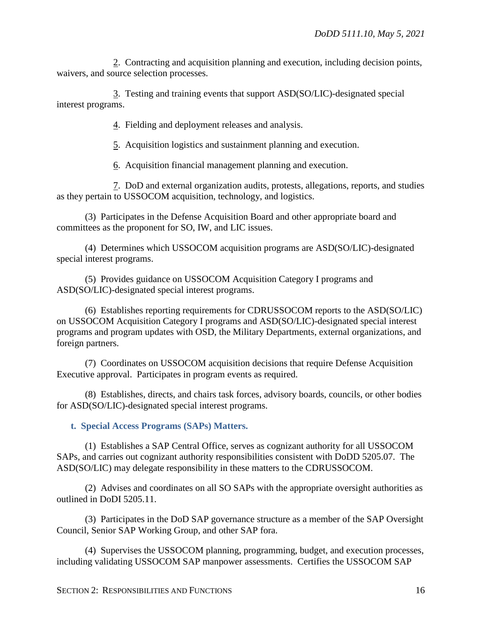2. Contracting and acquisition planning and execution, including decision points, waivers, and source selection processes.

3. Testing and training events that support ASD(SO/LIC)-designated special interest programs.

4. Fielding and deployment releases and analysis.

5. Acquisition logistics and sustainment planning and execution.

6. Acquisition financial management planning and execution.

7. DoD and external organization audits, protests, allegations, reports, and studies as they pertain to USSOCOM acquisition, technology, and logistics.

(3) Participates in the Defense Acquisition Board and other appropriate board and committees as the proponent for SO, IW, and LIC issues.

(4) Determines which USSOCOM acquisition programs are ASD(SO/LIC)-designated special interest programs.

(5) Provides guidance on USSOCOM Acquisition Category I programs and ASD(SO/LIC)-designated special interest programs.

(6) Establishes reporting requirements for CDRUSSOCOM reports to the ASD(SO/LIC) on USSOCOM Acquisition Category I programs and ASD(SO/LIC)-designated special interest programs and program updates with OSD, the Military Departments, external organizations, and foreign partners.

(7) Coordinates on USSOCOM acquisition decisions that require Defense Acquisition Executive approval. Participates in program events as required.

(8) Establishes, directs, and chairs task forces, advisory boards, councils, or other bodies for ASD(SO/LIC)-designated special interest programs.

<span id="page-15-0"></span>**t. Special Access Programs (SAPs) Matters.**

(1) Establishes a SAP Central Office, serves as cognizant authority for all USSOCOM SAPs, and carries out cognizant authority responsibilities consistent with DoDD 5205.07. The ASD(SO/LIC) may delegate responsibility in these matters to the CDRUSSOCOM.

(2) Advises and coordinates on all SO SAPs with the appropriate oversight authorities as outlined in DoDI 5205.11.

(3) Participates in the DoD SAP governance structure as a member of the SAP Oversight Council, Senior SAP Working Group, and other SAP fora.

(4) Supervises the USSOCOM planning, programming, budget, and execution processes, including validating USSOCOM SAP manpower assessments. Certifies the USSOCOM SAP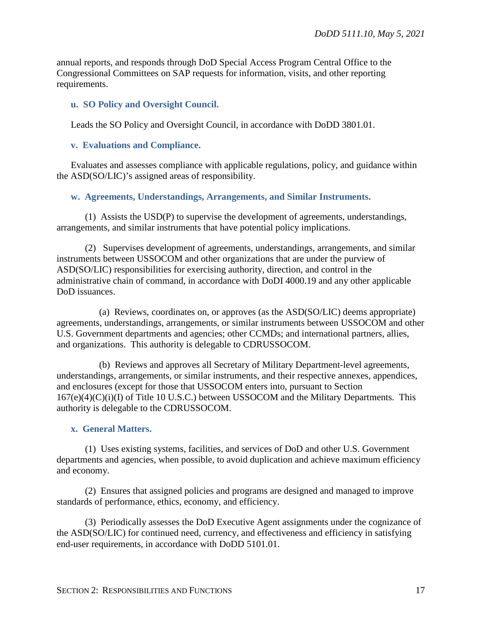annual reports, and responds through DoD Special Access Program Central Office to the Congressional Committees on SAP requests for information, visits, and other reporting requirements.

## <span id="page-16-0"></span>**u. SO Policy and Oversight Council.**

Leads the SO Policy and Oversight Council, in accordance with DoDD 3801.01.

### <span id="page-16-1"></span>**v. Evaluations and Compliance.**

Evaluates and assesses compliance with applicable regulations, policy, and guidance within the ASD(SO/LIC)'s assigned areas of responsibility.

# <span id="page-16-2"></span>**w. Agreements, Understandings, Arrangements, and Similar Instruments.**

(1) Assists the USD(P) to supervise the development of agreements, understandings, arrangements, and similar instruments that have potential policy implications.

(2) Supervises development of agreements, understandings, arrangements, and similar instruments between USSOCOM and other organizations that are under the purview of ASD(SO/LIC) responsibilities for exercising authority, direction, and control in the administrative chain of command, in accordance with DoDI 4000.19 and any other applicable DoD issuances.

(a) Reviews, coordinates on, or approves (as the ASD(SO/LIC) deems appropriate) agreements, understandings, arrangements, or similar instruments between USSOCOM and other U.S. Government departments and agencies; other CCMDs; and international partners, allies, and organizations. This authority is delegable to CDRUSSOCOM.

(b) Reviews and approves all Secretary of Military Department-level agreements, understandings, arrangements, or similar instruments, and their respective annexes, appendices, and enclosures (except for those that USSOCOM enters into, pursuant to Section  $167(e)(4)(C)(i)(I)$  of Title 10 U.S.C.) between USSOCOM and the Military Departments. This authority is delegable to the CDRUSSOCOM.

#### <span id="page-16-3"></span>**x. General Matters.**

(1) Uses existing systems, facilities, and services of DoD and other U.S. Government departments and agencies, when possible, to avoid duplication and achieve maximum efficiency and economy.

(2) Ensures that assigned policies and programs are designed and managed to improve standards of performance, ethics, economy, and efficiency.

(3) Periodically assesses the DoD Executive Agent assignments under the cognizance of the ASD(SO/LIC) for continued need, currency, and effectiveness and efficiency in satisfying end-user requirements, in accordance with DoDD 5101.01.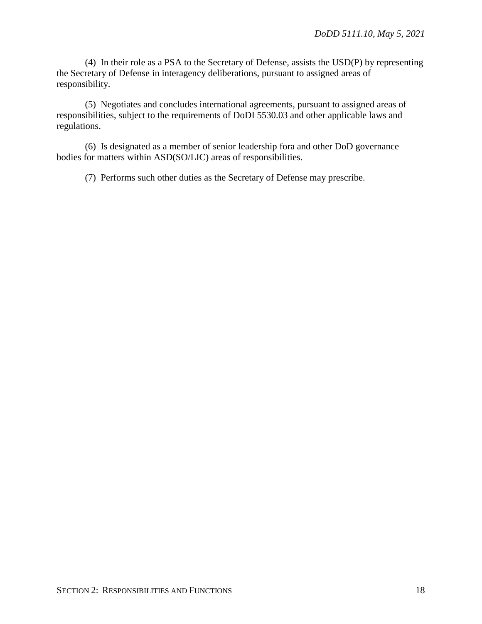(4) In their role as a PSA to the Secretary of Defense, assists the USD(P) by representing the Secretary of Defense in interagency deliberations, pursuant to assigned areas of responsibility.

(5) Negotiates and concludes international agreements, pursuant to assigned areas of responsibilities, subject to the requirements of DoDI 5530.03 and other applicable laws and regulations.

(6) Is designated as a member of senior leadership fora and other DoD governance bodies for matters within ASD(SO/LIC) areas of responsibilities.

(7) Performs such other duties as the Secretary of Defense may prescribe.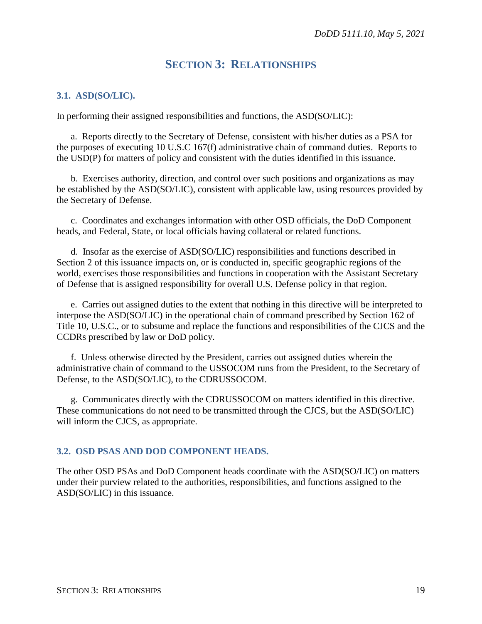# **SECTION 3: RELATIONSHIPS**

#### <span id="page-18-1"></span><span id="page-18-0"></span>**3.1. ASD(SO/LIC).**

In performing their assigned responsibilities and functions, the ASD(SO/LIC):

a. Reports directly to the Secretary of Defense, consistent with his/her duties as a PSA for the purposes of executing 10 U.S.C 167(f) administrative chain of command duties. Reports to the USD(P) for matters of policy and consistent with the duties identified in this issuance.

b. Exercises authority, direction, and control over such positions and organizations as may be established by the ASD(SO/LIC), consistent with applicable law, using resources provided by the Secretary of Defense.

c. Coordinates and exchanges information with other OSD officials, the DoD Component heads, and Federal, State, or local officials having collateral or related functions.

d. Insofar as the exercise of ASD(SO/LIC) responsibilities and functions described in Section 2 of this issuance impacts on, or is conducted in, specific geographic regions of the world, exercises those responsibilities and functions in cooperation with the Assistant Secretary of Defense that is assigned responsibility for overall U.S. Defense policy in that region.

e. Carries out assigned duties to the extent that nothing in this directive will be interpreted to interpose the ASD(SO/LIC) in the operational chain of command prescribed by Section 162 of Title 10, U.S.C., or to subsume and replace the functions and responsibilities of the CJCS and the CCDRs prescribed by law or DoD policy.

f. Unless otherwise directed by the President, carries out assigned duties wherein the administrative chain of command to the USSOCOM runs from the President, to the Secretary of Defense, to the ASD(SO/LIC), to the CDRUSSOCOM.

g. Communicates directly with the CDRUSSOCOM on matters identified in this directive. These communications do not need to be transmitted through the CJCS, but the ASD(SO/LIC) will inform the CJCS, as appropriate.

#### <span id="page-18-2"></span>**3.2. OSD PSAS AND DOD COMPONENT HEADS.**

The other OSD PSAs and DoD Component heads coordinate with the ASD(SO/LIC) on matters under their purview related to the authorities, responsibilities, and functions assigned to the ASD(SO/LIC) in this issuance.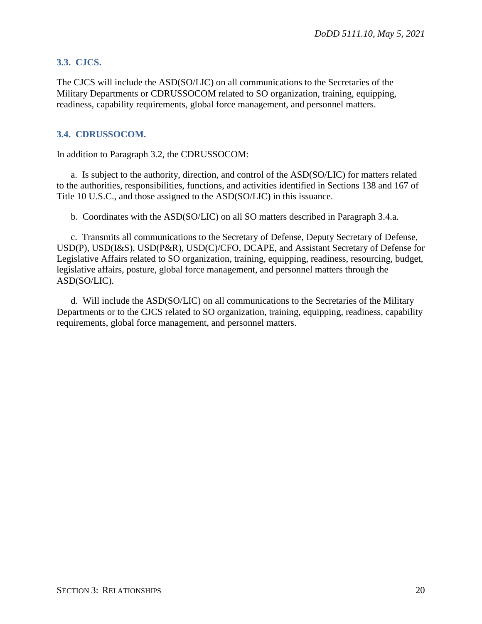# <span id="page-19-0"></span>**3.3. CJCS.**

The CJCS will include the ASD(SO/LIC) on all communications to the Secretaries of the Military Departments or CDRUSSOCOM related to SO organization, training, equipping, readiness, capability requirements, global force management, and personnel matters.

# <span id="page-19-1"></span>**3.4. CDRUSSOCOM.**

In addition to Paragraph 3.2, the CDRUSSOCOM:

a. Is subject to the authority, direction, and control of the ASD(SO/LIC) for matters related to the authorities, responsibilities, functions, and activities identified in Sections 138 and 167 of Title 10 U.S.C., and those assigned to the ASD(SO/LIC) in this issuance.

b. Coordinates with the ASD(SO/LIC) on all SO matters described in Paragraph 3.4.a.

c. Transmits all communications to the Secretary of Defense, Deputy Secretary of Defense, USD(P), USD(I&S), USD(P&R), USD(C)/CFO, DCAPE, and Assistant Secretary of Defense for Legislative Affairs related to SO organization, training, equipping, readiness, resourcing, budget, legislative affairs, posture, global force management, and personnel matters through the ASD(SO/LIC).

d. Will include the ASD(SO/LIC) on all communications to the Secretaries of the Military Departments or to the CJCS related to SO organization, training, equipping, readiness, capability requirements, global force management, and personnel matters.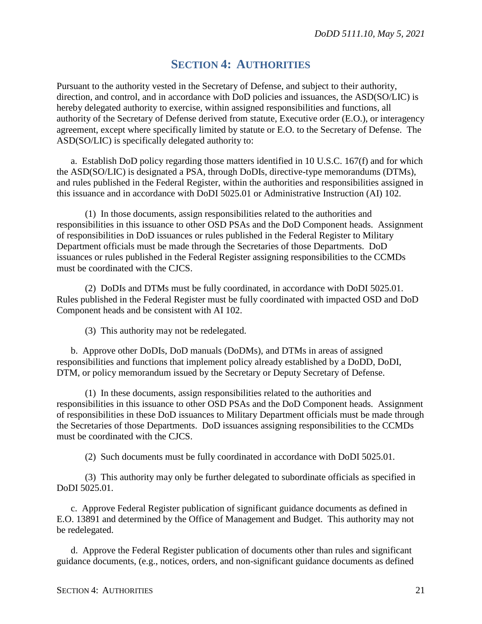# **SECTION 4: AUTHORITIES**

<span id="page-20-0"></span>Pursuant to the authority vested in the Secretary of Defense, and subject to their authority, direction, and control, and in accordance with DoD policies and issuances, the ASD(SO/LIC) is hereby delegated authority to exercise, within assigned responsibilities and functions, all authority of the Secretary of Defense derived from statute, Executive order (E.O.), or interagency agreement, except where specifically limited by statute or E.O. to the Secretary of Defense. The ASD(SO/LIC) is specifically delegated authority to:

a. Establish DoD policy regarding those matters identified in 10 U.S.C. 167(f) and for which the ASD(SO/LIC) is designated a PSA, through DoDIs, directive-type memorandums (DTMs), and rules published in the Federal Register, within the authorities and responsibilities assigned in this issuance and in accordance with DoDI 5025.01 or Administrative Instruction (AI) 102.

(1) In those documents, assign responsibilities related to the authorities and responsibilities in this issuance to other OSD PSAs and the DoD Component heads. Assignment of responsibilities in DoD issuances or rules published in the Federal Register to Military Department officials must be made through the Secretaries of those Departments. DoD issuances or rules published in the Federal Register assigning responsibilities to the CCMDs must be coordinated with the CJCS.

(2) DoDIs and DTMs must be fully coordinated, in accordance with DoDI 5025.01. Rules published in the Federal Register must be fully coordinated with impacted OSD and DoD Component heads and be consistent with AI 102.

(3) This authority may not be redelegated.

b. Approve other DoDIs, DoD manuals (DoDMs), and DTMs in areas of assigned responsibilities and functions that implement policy already established by a DoDD, DoDI, DTM, or policy memorandum issued by the Secretary or Deputy Secretary of Defense.

(1) In these documents, assign responsibilities related to the authorities and responsibilities in this issuance to other OSD PSAs and the DoD Component heads. Assignment of responsibilities in these DoD issuances to Military Department officials must be made through the Secretaries of those Departments. DoD issuances assigning responsibilities to the CCMDs must be coordinated with the CJCS.

(2) Such documents must be fully coordinated in accordance with DoDI 5025.01.

(3) This authority may only be further delegated to subordinate officials as specified in DoDI 5025.01.

c. Approve Federal Register publication of significant guidance documents as defined in E.O. 13891 and determined by the Office of Management and Budget. This authority may not be redelegated.

d. Approve the Federal Register publication of documents other than rules and significant guidance documents, (e.g., notices, orders, and non-significant guidance documents as defined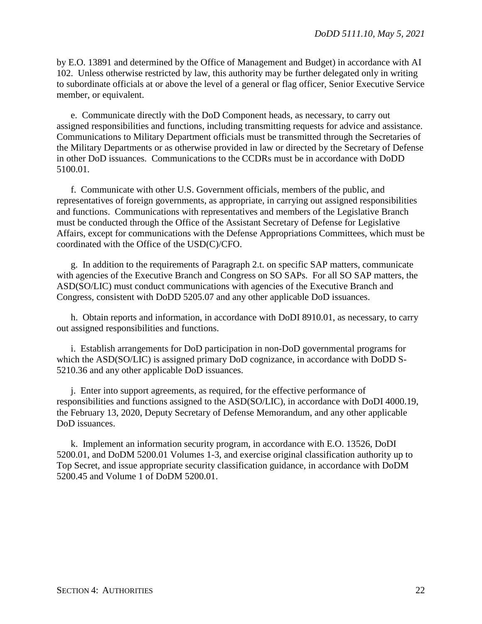by E.O. 13891 and determined by the Office of Management and Budget) in accordance with AI 102. Unless otherwise restricted by law, this authority may be further delegated only in writing to subordinate officials at or above the level of a general or flag officer, Senior Executive Service member, or equivalent.

e. Communicate directly with the DoD Component heads, as necessary, to carry out assigned responsibilities and functions, including transmitting requests for advice and assistance. Communications to Military Department officials must be transmitted through the Secretaries of the Military Departments or as otherwise provided in law or directed by the Secretary of Defense in other DoD issuances. Communications to the CCDRs must be in accordance with DoDD 5100.01.

f. Communicate with other U.S. Government officials, members of the public, and representatives of foreign governments, as appropriate, in carrying out assigned responsibilities and functions. Communications with representatives and members of the Legislative Branch must be conducted through the Office of the Assistant Secretary of Defense for Legislative Affairs, except for communications with the Defense Appropriations Committees, which must be coordinated with the Office of the USD(C)/CFO.

g. In addition to the requirements of Paragraph 2.t. on specific SAP matters, communicate with agencies of the Executive Branch and Congress on SO SAPs. For all SO SAP matters, the ASD(SO/LIC) must conduct communications with agencies of the Executive Branch and Congress, consistent with DoDD 5205.07 and any other applicable DoD issuances.

h. Obtain reports and information, in accordance with DoDI 8910.01, as necessary, to carry out assigned responsibilities and functions.

i. Establish arrangements for DoD participation in non-DoD governmental programs for which the ASD(SO/LIC) is assigned primary DoD cognizance, in accordance with DoDD S-5210.36 and any other applicable DoD issuances.

j. Enter into support agreements, as required, for the effective performance of responsibilities and functions assigned to the ASD(SO/LIC), in accordance with DoDI 4000.19, the February 13, 2020, Deputy Secretary of Defense Memorandum, and any other applicable DoD issuances.

k. Implement an information security program, in accordance with E.O. 13526, DoDI 5200.01, and DoDM 5200.01 Volumes 1-3, and exercise original classification authority up to Top Secret, and issue appropriate security classification guidance, in accordance with DoDM 5200.45 and Volume 1 of DoDM 5200.01.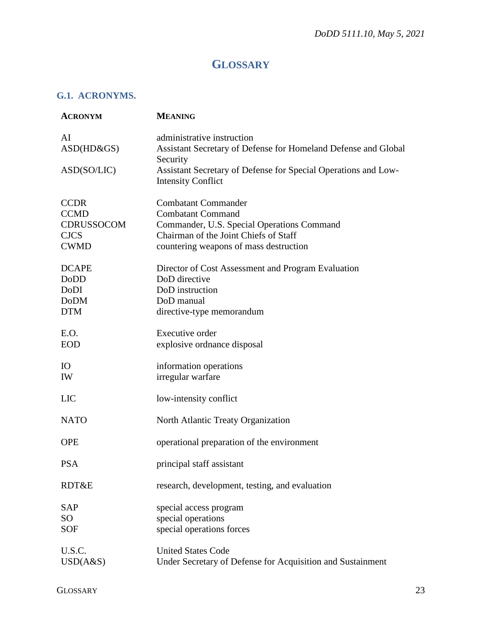# **GLOSSARY**

# <span id="page-22-1"></span><span id="page-22-0"></span>**G.1. ACRONYMS.**

| <b>ACRONYM</b>                                                                | <b>MEANING</b>                                                                                                                                                                                                       |
|-------------------------------------------------------------------------------|----------------------------------------------------------------------------------------------------------------------------------------------------------------------------------------------------------------------|
| AI<br>ASD(HD&GS)<br>ASD(SO/LIC)                                               | administrative instruction<br>Assistant Secretary of Defense for Homeland Defense and Global<br>Security<br>Assistant Secretary of Defense for Special Operations and Low-                                           |
| <b>CCDR</b><br><b>CCMD</b><br><b>CDRUSSOCOM</b><br><b>CJCS</b><br><b>CWMD</b> | <b>Intensity Conflict</b><br><b>Combatant Commander</b><br><b>Combatant Command</b><br>Commander, U.S. Special Operations Command<br>Chairman of the Joint Chiefs of Staff<br>countering weapons of mass destruction |
| <b>DCAPE</b><br>DoDD<br>DoDI<br><b>DoDM</b><br><b>DTM</b>                     | Director of Cost Assessment and Program Evaluation<br>DoD directive<br>DoD instruction<br>DoD manual<br>directive-type memorandum                                                                                    |
| E.O.<br><b>EOD</b>                                                            | Executive order<br>explosive ordnance disposal                                                                                                                                                                       |
| <b>IO</b><br>IW                                                               | information operations<br>irregular warfare                                                                                                                                                                          |
| <b>LIC</b>                                                                    | low-intensity conflict                                                                                                                                                                                               |
| <b>NATO</b>                                                                   | North Atlantic Treaty Organization                                                                                                                                                                                   |
| <b>OPE</b>                                                                    | operational preparation of the environment                                                                                                                                                                           |
| <b>PSA</b>                                                                    | principal staff assistant                                                                                                                                                                                            |
| RDT&E                                                                         | research, development, testing, and evaluation                                                                                                                                                                       |
| <b>SAP</b><br>SO <sub>1</sub><br><b>SOF</b>                                   | special access program<br>special operations<br>special operations forces                                                                                                                                            |
| U.S.C.<br>USD(A&S)                                                            | <b>United States Code</b><br>Under Secretary of Defense for Acquisition and Sustainment                                                                                                                              |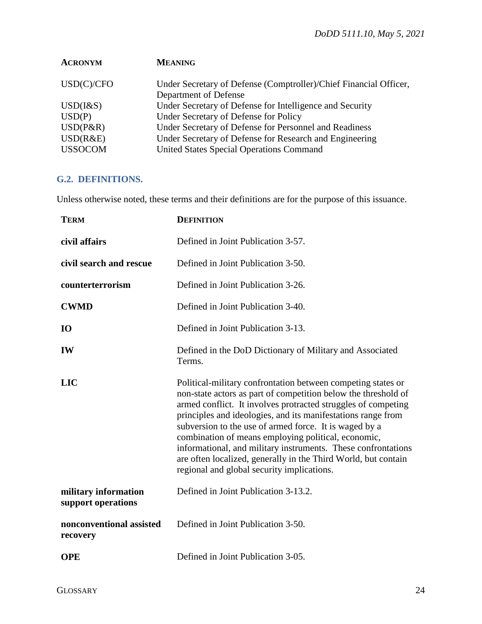| <b>MEANING</b>                                                    |
|-------------------------------------------------------------------|
| Under Secretary of Defense (Comptroller)/Chief Financial Officer, |
| Department of Defense                                             |
| Under Secretary of Defense for Intelligence and Security          |
| Under Secretary of Defense for Policy                             |
| Under Secretary of Defense for Personnel and Readiness            |
| Under Secretary of Defense for Research and Engineering           |
| <b>United States Special Operations Command</b>                   |
|                                                                   |

# <span id="page-23-0"></span>**G.2. DEFINITIONS.**

Unless otherwise noted, these terms and their definitions are for the purpose of this issuance.

| <b>TERM</b>                                | <b>DEFINITION</b>                                                                                                                                                                                                                                                                                                                                                                                                                                                                                                                                                 |
|--------------------------------------------|-------------------------------------------------------------------------------------------------------------------------------------------------------------------------------------------------------------------------------------------------------------------------------------------------------------------------------------------------------------------------------------------------------------------------------------------------------------------------------------------------------------------------------------------------------------------|
| civil affairs                              | Defined in Joint Publication 3-57.                                                                                                                                                                                                                                                                                                                                                                                                                                                                                                                                |
| civil search and rescue                    | Defined in Joint Publication 3-50.                                                                                                                                                                                                                                                                                                                                                                                                                                                                                                                                |
| counterterrorism                           | Defined in Joint Publication 3-26.                                                                                                                                                                                                                                                                                                                                                                                                                                                                                                                                |
| <b>CWMD</b>                                | Defined in Joint Publication 3-40.                                                                                                                                                                                                                                                                                                                                                                                                                                                                                                                                |
| <b>IO</b>                                  | Defined in Joint Publication 3-13.                                                                                                                                                                                                                                                                                                                                                                                                                                                                                                                                |
| IW                                         | Defined in the DoD Dictionary of Military and Associated<br>Terms.                                                                                                                                                                                                                                                                                                                                                                                                                                                                                                |
| <b>LIC</b>                                 | Political-military confrontation between competing states or<br>non-state actors as part of competition below the threshold of<br>armed conflict. It involves protracted struggles of competing<br>principles and ideologies, and its manifestations range from<br>subversion to the use of armed force. It is waged by a<br>combination of means employing political, economic,<br>informational, and military instruments. These confrontations<br>are often localized, generally in the Third World, but contain<br>regional and global security implications. |
| military information<br>support operations | Defined in Joint Publication 3-13.2.                                                                                                                                                                                                                                                                                                                                                                                                                                                                                                                              |
| nonconventional assisted<br>recovery       | Defined in Joint Publication 3-50.                                                                                                                                                                                                                                                                                                                                                                                                                                                                                                                                |
| <b>OPE</b>                                 | Defined in Joint Publication 3-05.                                                                                                                                                                                                                                                                                                                                                                                                                                                                                                                                |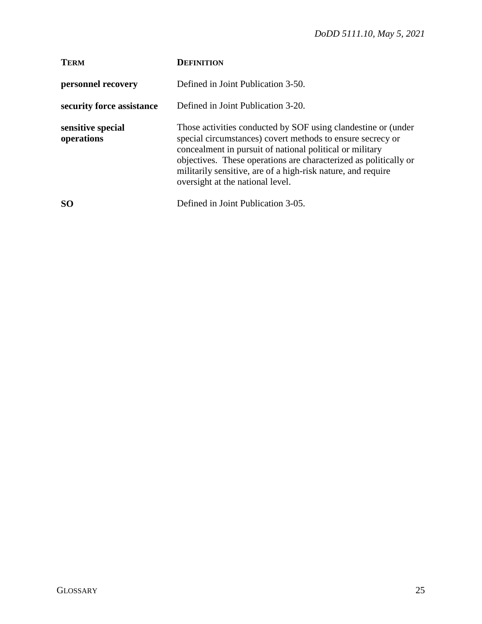| <b>TERM</b>                     | <b>DEFINITION</b>                                                                                                                                                                                                                                                                                                                                               |
|---------------------------------|-----------------------------------------------------------------------------------------------------------------------------------------------------------------------------------------------------------------------------------------------------------------------------------------------------------------------------------------------------------------|
| personnel recovery              | Defined in Joint Publication 3-50.                                                                                                                                                                                                                                                                                                                              |
| security force assistance       | Defined in Joint Publication 3-20.                                                                                                                                                                                                                                                                                                                              |
| sensitive special<br>operations | Those activities conducted by SOF using clandestine or (under<br>special circumstances) covert methods to ensure secrecy or<br>concealment in pursuit of national political or military<br>objectives. These operations are characterized as politically or<br>militarily sensitive, are of a high-risk nature, and require<br>oversight at the national level. |
| <b>SO</b>                       | Defined in Joint Publication 3-05.                                                                                                                                                                                                                                                                                                                              |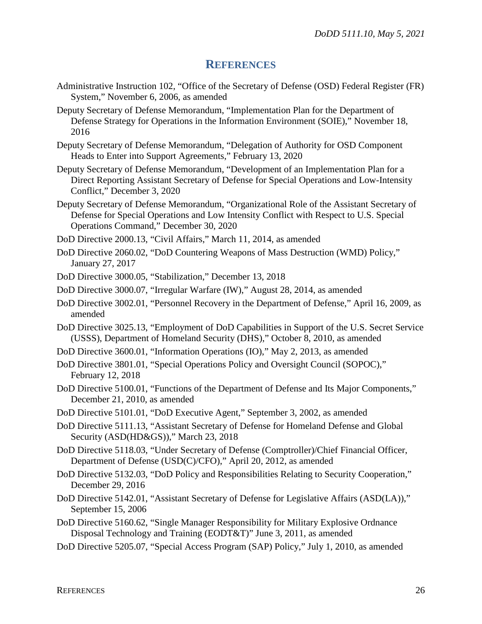# **REFERENCES**

- <span id="page-25-0"></span>Administrative Instruction 102, "Office of the Secretary of Defense (OSD) Federal Register (FR) System," November 6, 2006, as amended
- Deputy Secretary of Defense Memorandum, "Implementation Plan for the Department of Defense Strategy for Operations in the Information Environment (SOIE)," November 18, 2016
- Deputy Secretary of Defense Memorandum, "Delegation of Authority for OSD Component Heads to Enter into Support Agreements," February 13, 2020
- Deputy Secretary of Defense Memorandum, "Development of an Implementation Plan for a Direct Reporting Assistant Secretary of Defense for Special Operations and Low-Intensity Conflict," December 3, 2020
- Deputy Secretary of Defense Memorandum, "Organizational Role of the Assistant Secretary of Defense for Special Operations and Low Intensity Conflict with Respect to U.S. Special Operations Command," December 30, 2020
- DoD Directive 2000.13, "Civil Affairs," March 11, 2014, as amended
- DoD Directive 2060.02, "DoD Countering Weapons of Mass Destruction (WMD) Policy," January 27, 2017
- DoD Directive 3000.05, "Stabilization," December 13, 2018
- DoD Directive 3000.07, "Irregular Warfare (IW)," August 28, 2014, as amended
- DoD Directive 3002.01, "Personnel Recovery in the Department of Defense," April 16, 2009, as amended
- DoD Directive 3025.13, "Employment of DoD Capabilities in Support of the U.S. Secret Service (USSS), Department of Homeland Security (DHS)," October 8, 2010, as amended
- DoD Directive 3600.01, "Information Operations (IO)," May 2, 2013, as amended
- DoD Directive 3801.01, "Special Operations Policy and Oversight Council (SOPOC)," February 12, 2018
- DoD Directive 5100.01, "Functions of the Department of Defense and Its Major Components," December 21, 2010, as amended
- DoD Directive 5101.01, "DoD Executive Agent," September 3, 2002, as amended
- DoD Directive 5111.13, "Assistant Secretary of Defense for Homeland Defense and Global Security (ASD(HD&GS))," March 23, 2018
- DoD Directive 5118.03, "Under Secretary of Defense (Comptroller)/Chief Financial Officer, Department of Defense (USD(C)/CFO)," April 20, 2012, as amended
- DoD Directive 5132.03, "DoD Policy and Responsibilities Relating to Security Cooperation," December 29, 2016
- DoD Directive 5142.01, "Assistant Secretary of Defense for Legislative Affairs (ASD(LA))," September 15, 2006
- DoD Directive 5160.62, "Single Manager Responsibility for Military Explosive Ordnance Disposal Technology and Training (EODT&T)" June 3, 2011, as amended
- DoD Directive 5205.07, "Special Access Program (SAP) Policy," July 1, 2010, as amended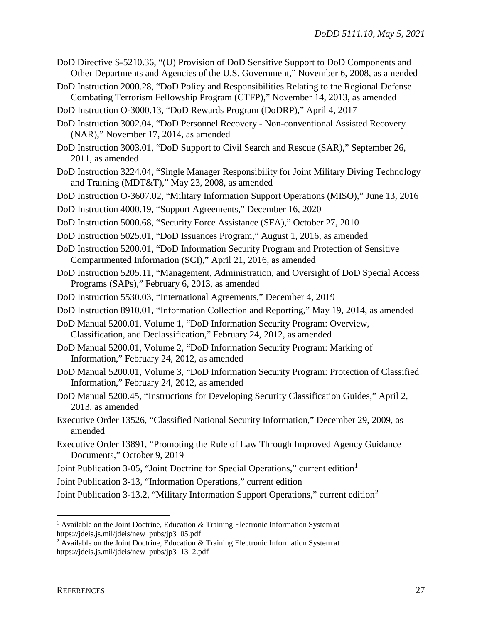- DoD Directive S-5210.36, "(U) Provision of DoD Sensitive Support to DoD Components and Other Departments and Agencies of the U.S. Government," November 6, 2008, as amended
- DoD Instruction 2000.28, "DoD Policy and Responsibilities Relating to the Regional Defense Combating Terrorism Fellowship Program (CTFP)," November 14, 2013, as amended
- DoD Instruction O-3000.13, "DoD Rewards Program (DoDRP)," April 4, 2017
- DoD Instruction 3002.04, "DoD Personnel Recovery Non-conventional Assisted Recovery (NAR)," November 17, 2014, as amended
- DoD Instruction 3003.01, "DoD Support to Civil Search and Rescue (SAR)," September 26, 2011, as amended
- DoD Instruction 3224.04, "Single Manager Responsibility for Joint Military Diving Technology and Training (MDT&T)," May 23, 2008, as amended
- DoD Instruction O-3607.02, "Military Information Support Operations (MISO)," June 13, 2016
- DoD Instruction 4000.19, "Support Agreements," December 16, 2020
- DoD Instruction 5000.68, "Security Force Assistance (SFA)," October 27, 2010
- DoD Instruction 5025.01, "DoD Issuances Program," August 1, 2016, as amended
- DoD Instruction 5200.01, "DoD Information Security Program and Protection of Sensitive Compartmented Information (SCI)," April 21, 2016, as amended
- DoD Instruction 5205.11, "Management, Administration, and Oversight of DoD Special Access Programs (SAPs)," February 6, 2013, as amended
- DoD Instruction 5530.03, "International Agreements," December 4, 2019
- DoD Instruction 8910.01, "Information Collection and Reporting," May 19, 2014, as amended
- DoD Manual 5200.01, Volume 1, "DoD Information Security Program: Overview, Classification, and Declassification," February 24, 2012, as amended
- DoD Manual 5200.01, Volume 2, "DoD Information Security Program: Marking of Information," February 24, 2012, as amended
- DoD Manual 5200.01, Volume 3, "DoD Information Security Program: Protection of Classified Information," February 24, 2012, as amended
- DoD Manual 5200.45, "Instructions for Developing Security Classification Guides," April 2, 2013, as amended
- Executive Order 13526, "Classified National Security Information," December 29, 2009, as amended
- Executive Order 13891, "Promoting the Rule of Law Through Improved Agency Guidance Documents," October 9, 2019
- Joint Publication 3-05, "Joint Doctrine for Special Operations," current edition<sup>[1](#page-26-0)</sup>
- Joint Publication 3-13, "Information Operations," current edition

Joint Publication 3-13.2, "Military Information Support Operations," current edition[2](#page-26-1)

<span id="page-26-0"></span><sup>&</sup>lt;sup>1</sup> Available on the Joint Doctrine, Education & Training Electronic Information System at https://jdeis.js.mil/jdeis/new\_pubs/jp3\_05.pdf

<span id="page-26-1"></span><sup>&</sup>lt;sup>2</sup> Available on the Joint Doctrine, Education & Training Electronic Information System at https://jdeis.js.mil/jdeis/new\_pubs/jp3\_13\_2.pdf